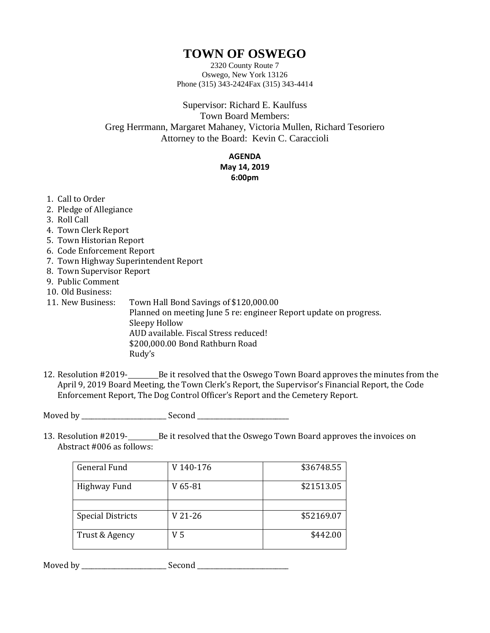## **TOWN OF OSWEGO**

2320 County Route 7 Oswego, New York 13126 Phone (315) 343-2424Fax (315) 343-4414

Supervisor: Richard E. Kaulfuss Town Board Members: Greg Herrmann, Margaret Mahaney, Victoria Mullen, Richard Tesoriero Attorney to the Board: Kevin C. Caraccioli

## **AGENDA**

## **May 14, 2019 6:00pm**

- 1. Call to Order
- 2. Pledge of Allegiance
- 3. Roll Call
- 4. Town Clerk Report
- 5. Town Historian Report
- 6. Code Enforcement Report
- 7. Town Highway Superintendent Report
- 8. Town Supervisor Report
- 9. Public Comment
- 10. Old Business:
- 11. New Business: Town Hall Bond Savings of \$120,000.00 Planned on meeting June 5 re: engineer Report update on progress. Sleepy Hollow AUD available. Fiscal Stress reduced! \$200,000.00 Bond Rathburn Road Rudy's
- 12. Resolution #2019-<br>
Be it resolved that the Oswego Town Board approves the minutes from the April 9, 2019 Board Meeting, the Town Clerk's Report, the Supervisor's Financial Report, the Code Enforcement Report, The Dog Control Officer's Report and the Cemetery Report.

Moved by \_\_\_\_\_\_\_\_\_\_\_\_\_\_\_\_\_\_\_\_\_\_\_\_\_\_ Second \_\_\_\_\_\_\_\_\_\_\_\_\_\_\_\_\_\_\_\_\_\_\_\_\_\_\_\_

13. Resolution #2019-<br>
Be it resolved that the Oswego Town Board approves the invoices on Abstract #006 as follows:

| <b>General Fund</b>      | V 140-176 | \$36748.55 |
|--------------------------|-----------|------------|
| Highway Fund             | V 65-81   | \$21513.05 |
|                          |           |            |
| <b>Special Districts</b> | V 21-26   | \$52169.07 |
| Trust & Agency           | V 5       | \$442.00   |

Moved by \_\_\_\_\_\_\_\_\_\_\_\_\_\_\_\_\_\_\_\_\_\_\_\_\_\_ Second \_\_\_\_\_\_\_\_\_\_\_\_\_\_\_\_\_\_\_\_\_\_\_\_\_\_\_\_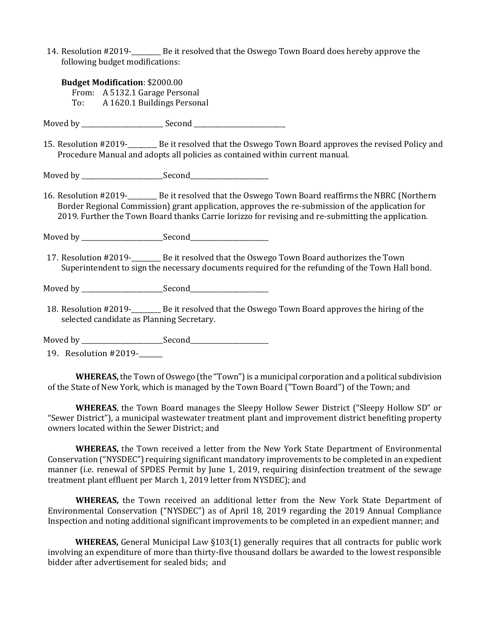14. Resolution #2019-\_\_\_\_\_\_\_\_\_ Be it resolved that the Oswego Town Board does hereby approve the following budget modifications:

| <b>Budget Modification: \$2000.00</b> |                                |  |
|---------------------------------------|--------------------------------|--|
|                                       | From: A 5132.1 Garage Personal |  |
| To:                                   | A 1620.1 Buildings Personal    |  |

Moved by \_\_\_\_\_\_\_\_\_\_\_\_\_\_\_\_\_\_\_\_\_\_\_\_\_ Second \_\_\_\_\_\_\_\_\_\_\_\_\_\_\_\_\_\_\_\_\_\_\_\_\_\_\_\_

15. Resolution #2019-\_\_\_\_\_\_\_\_\_ Be it resolved that the Oswego Town Board approves the revised Policy and Procedure Manual and adopts all policies as contained within current manual.

Moved by \_\_\_\_\_\_\_\_\_\_\_\_\_\_\_\_\_\_\_\_\_\_\_\_\_Second\_\_\_\_\_\_\_\_\_\_\_\_\_\_\_\_\_\_\_\_\_\_\_\_

16. Resolution #2019-\_\_\_\_\_\_\_\_\_ Be it resolved that the Oswego Town Board reaffirms the NBRC (Northern Border Regional Commission) grant application, approves the re-submission of the application for 2019. Further the Town Board thanks Carrie Iorizzo for revising and re-submitting the application.

Moved by \_\_\_\_\_\_\_\_\_\_\_\_\_\_\_\_\_\_\_\_\_\_\_\_\_Second\_\_\_\_\_\_\_\_\_\_\_\_\_\_\_\_\_\_\_\_\_\_\_\_

17. Resolution #2019-\_\_\_\_\_\_\_\_\_ Be it resolved that the Oswego Town Board authorizes the Town Superintendent to sign the necessary documents required for the refunding of the Town Hall bond.

Moved by \_\_\_\_\_\_\_\_\_\_\_\_\_\_\_\_\_\_\_\_\_\_\_\_\_Second\_\_\_\_\_\_\_\_\_\_\_\_\_\_\_\_\_\_\_\_\_\_\_\_

18. Resolution #2019-\_\_\_\_\_\_\_\_\_ Be it resolved that the Oswego Town Board approves the hiring of the selected candidate as Planning Secretary.

Moved by \_\_\_\_\_\_\_\_\_\_\_\_\_\_\_\_\_\_\_\_\_\_\_\_\_Second\_\_\_\_\_\_\_\_\_\_\_\_\_\_\_\_\_\_\_\_\_\_\_\_

19. Resolution #2019-\_\_\_\_\_\_\_

**WHEREAS,** the Town of Oswego (the "Town") is a municipal corporation and a political subdivision of the State of New York, which is managed by the Town Board ("Town Board") of the Town; and

**WHEREAS**, the Town Board manages the Sleepy Hollow Sewer District ("Sleepy Hollow SD" or "Sewer District"), a municipal wastewater treatment plant and improvement district benefiting property owners located within the Sewer District; and

**WHEREAS,** the Town received a letter from the New York State Department of Environmental Conservation ("NYSDEC") requiring significant mandatory improvements to be completed in an expedient manner (i.e. renewal of SPDES Permit by June 1, 2019, requiring disinfection treatment of the sewage treatment plant effluent per March 1, 2019 letter from NYSDEC); and

**WHEREAS,** the Town received an additional letter from the New York State Department of Environmental Conservation ("NYSDEC") as of April 18, 2019 regarding the 2019 Annual Compliance Inspection and noting additional significant improvements to be completed in an expedient manner; and

**WHEREAS,** General Municipal Law §103(1) generally requires that all contracts for public work involving an expenditure of more than thirty-five thousand dollars be awarded to the lowest responsible bidder after advertisement for sealed bids; and